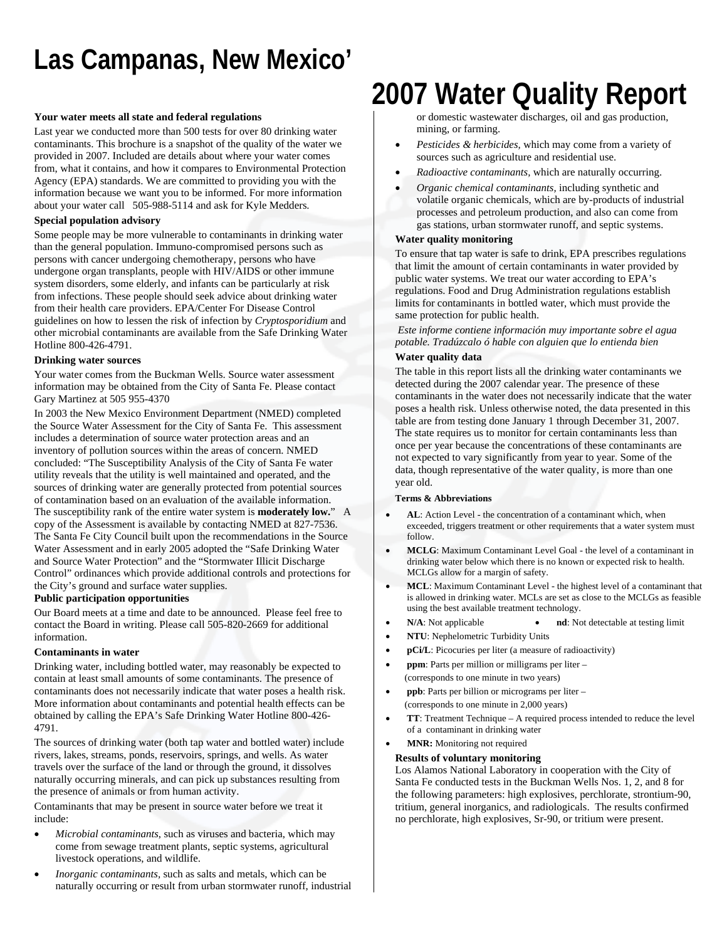# **Las Campanas, New Mexico'**

### **Your water meets all state and federal regulations**

Last year we conducted more than 500 tests for over 80 drinking water contaminants. This brochure is a snapshot of the quality of the water we provided in 2007. Included are details about where your water comes from, what it contains, and how it compares to Environmental Protection Agency (EPA) standards. We are committed to providing you with the information because we want you to be informed. For more information about your water call 505-988-5114 and ask for Kyle Medders.

## **Special population advisory**

Some people may be more vulnerable to contaminants in drinking water than the general population. Immuno-compromised persons such as persons with cancer undergoing chemotherapy, persons who have undergone organ transplants, people with HIV/AIDS or other immune system disorders, some elderly, and infants can be particularly at risk from infections. These people should seek advice about drinking water from their health care providers. EPA/Center For Disease Control guidelines on how to lessen the risk of infection by *Cryptosporidium* and other microbial contaminants are available from the Safe Drinking Water Hotline 800-426-4791.

## **Drinking water sources**

Your water comes from the Buckman Wells. Source water assessment information may be obtained from the City of Santa Fe. Please contact Gary Martinez at 505 955-4370

In 2003 the New Mexico Environment Department (NMED) completed the Source Water Assessment for the City of Santa Fe. This assessment includes a determination of source water protection areas and an inventory of pollution sources within the areas of concern. NMED concluded: "The Susceptibility Analysis of the City of Santa Fe water utility reveals that the utility is well maintained and operated, and the sources of drinking water are generally protected from potential sources of contamination based on an evaluation of the available information. The susceptibility rank of the entire water system is **moderately low.**" A copy of the Assessment is available by contacting NMED at 827-7536. The Santa Fe City Council built upon the recommendations in the Source Water Assessment and in early 2005 adopted the "Safe Drinking Water and Source Water Protection" and the "Stormwater Illicit Discharge Control" ordinances which provide additional controls and protections for the City's ground and surface water supplies.

### **Public participation opportunities**

Our Board meets at a time and date to be announced. Please feel free to contact the Board in writing. Please call 505-820-2669 for additional information.

### **Contaminants in water**

Drinking water, including bottled water, may reasonably be expected to contain at least small amounts of some contaminants. The presence of contaminants does not necessarily indicate that water poses a health risk. More information about contaminants and potential health effects can be obtained by calling the EPA's Safe Drinking Water Hotline 800-426- 4791.

The sources of drinking water (both tap water and bottled water) include rivers, lakes, streams, ponds, reservoirs, springs, and wells. As water travels over the surface of the land or through the ground, it dissolves naturally occurring minerals, and can pick up substances resulting from the presence of animals or from human activity.

Contaminants that may be present in source water before we treat it include:

- *Microbial contaminants*, such as viruses and bacteria, which may come from sewage treatment plants, septic systems, agricultural livestock operations, and wildlife.
- *Inorganic contaminants,* such as salts and metals, which can be naturally occurring or result from urban stormwater runoff, industrial

# **2007 Water Quality Report**

or domestic wastewater discharges, oil and gas production, mining, or farming.

- *Pesticides & herbicides,* which may come from a variety of sources such as agriculture and residential use.
- *Radioactive contaminants,* which are naturally occurring.
- *Organic chemical contaminants,* including synthetic and volatile organic chemicals, which are by-products of industrial processes and petroleum production, and also can come from gas stations, urban stormwater runoff, and septic systems.

## **Water quality monitoring**

To ensure that tap water is safe to drink, EPA prescribes regulations that limit the amount of certain contaminants in water provided by public water systems. We treat our water according to EPA's regulations. Food and Drug Administration regulations establish limits for contaminants in bottled water, which must provide the same protection for public health.

*Este informe contiene información muy importante sobre el agua potable. Tradúzcalo ó hable con alguien que lo entienda bien* 

## **Water quality data**

The table in this report lists all the drinking water contaminants we detected during the 2007 calendar year. The presence of these contaminants in the water does not necessarily indicate that the water poses a health risk. Unless otherwise noted, the data presented in this table are from testing done January 1 through December 31, 2007. The state requires us to monitor for certain contaminants less than once per year because the concentrations of these contaminants are not expected to vary significantly from year to year. Some of the data, though representative of the water quality, is more than one year old.

### **Terms & Abbreviations**

- **AL**: Action Level the concentration of a contaminant which, when exceeded, triggers treatment or other requirements that a water system must follow.
- **MCLG**: Maximum Contaminant Level Goal the level of a contaminant in drinking water below which there is no known or expected risk to health. MCLGs allow for a margin of safety.
- **MCL**: Maximum Contaminant Level the highest level of a contaminant that is allowed in drinking water. MCLs are set as close to the MCLGs as feasible using the best available treatment technology.
- **N/A**: Not applicable **nd**: Not detectable at testing limit
- **NTU**: Nephelometric Turbidity Units
- **pCi/L**: Picocuries per liter (a measure of radioactivity)
- **ppm**: Parts per million or milligrams per liter (corresponds to one minute in two years)
- **ppb**: Parts per billion or micrograms per liter (corresponds to one minute in 2,000 years)
- **TT**: Treatment Technique A required process intended to reduce the level of a contaminant in drinking water

## • **MNR:** Monitoring not required

### **Results of voluntary monitoring**

Los Alamos National Laboratory in cooperation with the City of Santa Fe conducted tests in the Buckman Wells Nos. 1, 2, and 8 for the following parameters: high explosives, perchlorate, strontium-90, tritium, general inorganics, and radiologicals. The results confirmed no perchlorate, high explosives, Sr-90, or tritium were present.